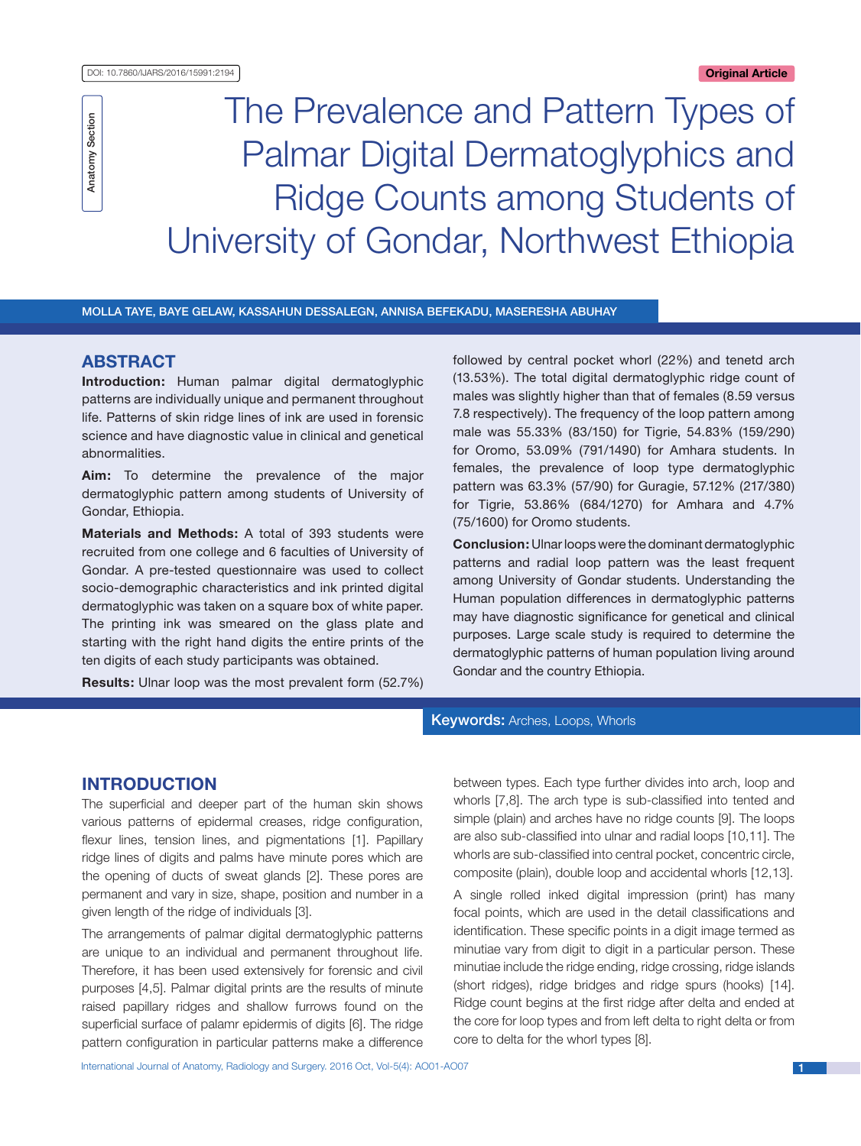The Prevalence and Pattern Types of Palmar Digital Dermatoglyphics and Ridge Counts among Students of University of Gondar, Northwest Ethiopia

Molla Taye, Baye Gelaw, Kassahun Dessalegn, Annisa Befekadu, Maseresha Abuhay

# **ABSTRACT**

Anatomy Section

Anatomy Section

**Introduction:** Human palmar digital dermatoglyphic patterns are individually unique and permanent throughout life. Patterns of skin ridge lines of ink are used in forensic science and have diagnostic value in clinical and genetical abnormalities.

**Aim:** To determine the prevalence of the major dermatoglyphic pattern among students of University of Gondar, Ethiopia.

**Materials and Methods:** A total of 393 students were recruited from one college and 6 faculties of University of Gondar. A pre-tested questionnaire was used to collect socio-demographic characteristics and ink printed digital dermatoglyphic was taken on a square box of white paper. The printing ink was smeared on the glass plate and starting with the right hand digits the entire prints of the ten digits of each study participants was obtained.

**Results:** Ulnar loop was the most prevalent form (52.7%)

followed by central pocket whorl (22%) and tenetd arch (13.53%). The total digital dermatoglyphic ridge count of males was slightly higher than that of females (8.59 versus 7.8 respectively). The frequency of the loop pattern among male was 55.33% (83/150) for Tigrie, 54.83% (159/290) for Oromo, 53.09% (791/1490) for Amhara students. In females, the prevalence of loop type dermatoglyphic pattern was 63.3% (57/90) for Guragie, 57.12% (217/380) for Tigrie, 53.86% (684/1270) for Amhara and 4.7% (75/1600) for Oromo students.

**Conclusion:** Ulnar loops were the dominant dermatoglyphic patterns and radial loop pattern was the least frequent among University of Gondar students. Understanding the Human population differences in dermatoglyphic patterns may have diagnostic significance for genetical and clinical purposes. Large scale study is required to determine the dermatoglyphic patterns of human population living around Gondar and the country Ethiopia.

## **Keywords: Arches, Loops, Whorls**

# **Introduction**

The superficial and deeper part of the human skin shows various patterns of epidermal creases, ridge configuration, flexur lines, tension lines, and pigmentations [1]. Papillary ridge lines of digits and palms have minute pores which are the opening of ducts of sweat glands [2]. These pores are permanent and vary in size, shape, position and number in a given length of the ridge of individuals [3].

The arrangements of palmar digital dermatoglyphic patterns are unique to an individual and permanent throughout life. Therefore, it has been used extensively for forensic and civil purposes [4,5]. Palmar digital prints are the results of minute raised papillary ridges and shallow furrows found on the superficial surface of palamr epidermis of digits [6]. The ridge pattern configuration in particular patterns make a difference between types. Each type further divides into arch, loop and whorls [7,8]. The arch type is sub-classified into tented and simple (plain) and arches have no ridge counts [9]. The loops are also sub-classified into ulnar and radial loops [10,11]. The whorls are sub-classified into central pocket, concentric circle, composite (plain), double loop and accidental whorls [12,13].

A single rolled inked digital impression (print) has many focal points, which are used in the detail classifications and identification. These specific points in a digit image termed as minutiae vary from digit to digit in a particular person. These minutiae include the ridge ending, ridge crossing, ridge islands (short ridges), ridge bridges and ridge spurs (hooks) [14]. Ridge count begins at the first ridge after delta and ended at the core for loop types and from left delta to right delta or from core to delta for the whorl types [8].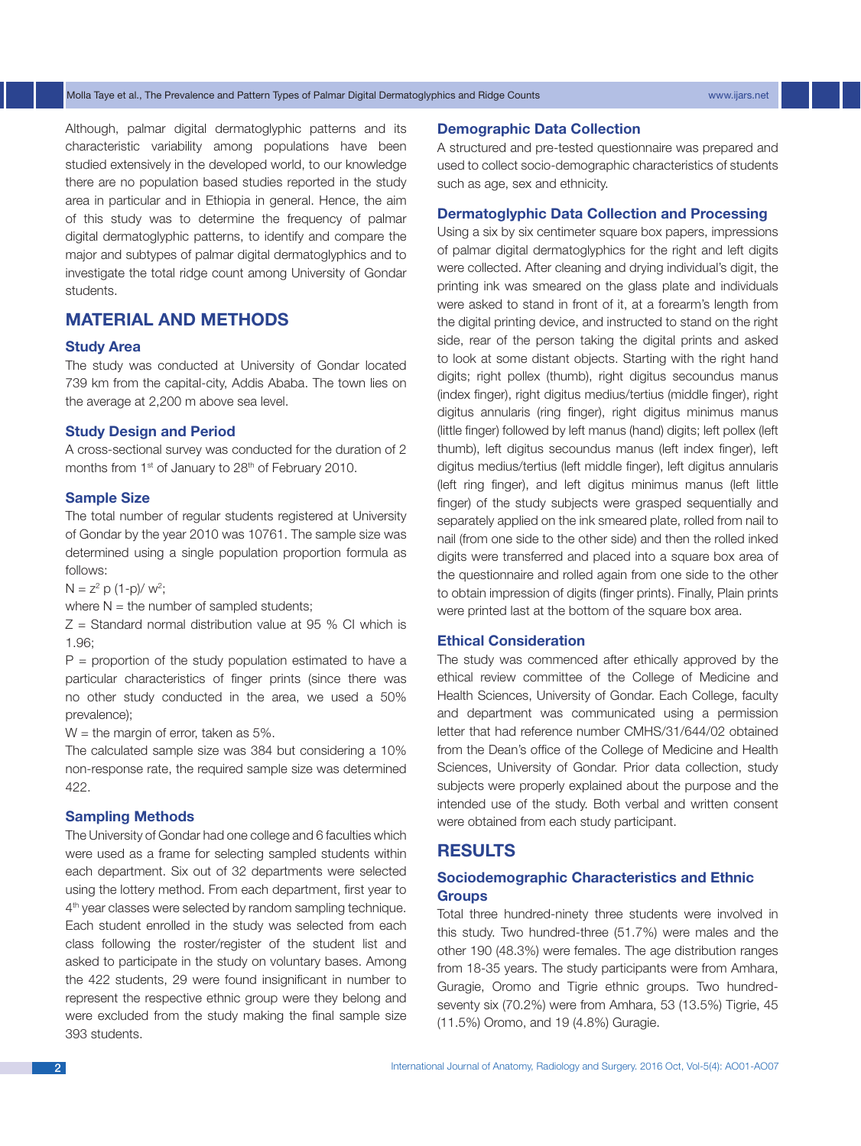Although, palmar digital dermatoglyphic patterns and its characteristic variability among populations have been studied extensively in the developed world, to our knowledge there are no population based studies reported in the study area in particular and in Ethiopia in general. Hence, the aim of this study was to determine the frequency of palmar digital dermatoglyphic patterns, to identify and compare the major and subtypes of palmar digital dermatoglyphics and to investigate the total ridge count among University of Gondar students.

# **Material and Methods**

## **Study Area**

The study was conducted at University of Gondar located 739 km from the capital-city, Addis Ababa. The town lies on the average at 2,200 m above sea level.

#### **Study Design and Period**

A cross-sectional survey was conducted for the duration of 2 months from 1<sup>st</sup> of January to 28<sup>th</sup> of February 2010.

#### **Sample Size**

The total number of regular students registered at University of Gondar by the year 2010 was 10761. The sample size was determined using a single population proportion formula as follows:

 $N = z^2 p (1-p)/w^2;$ 

where  $N =$  the number of sampled students;

 $Z =$  Standard normal distribution value at 95 % CI which is 1.96;

 $P =$  proportion of the study population estimated to have a particular characteristics of finger prints (since there was no other study conducted in the area, we used a 50% prevalence);

 $W =$  the margin of error, taken as 5%.

The calculated sample size was 384 but considering a 10% non-response rate, the required sample size was determined 422.

## **Sampling Methods**

The University of Gondar had one college and 6 faculties which were used as a frame for selecting sampled students within each department. Six out of 32 departments were selected using the lottery method. From each department, first year to 4<sup>th</sup> year classes were selected by random sampling technique. Each student enrolled in the study was selected from each class following the roster/register of the student list and asked to participate in the study on voluntary bases. Among the 422 students, 29 were found insignificant in number to represent the respective ethnic group were they belong and were excluded from the study making the final sample size 393 students.

## **Demographic Data Collection**

A structured and pre-tested questionnaire was prepared and used to collect socio-demographic characteristics of students such as age, sex and ethnicity.

#### **Dermatoglyphic Data Collection and Processing**

Using a six by six centimeter square box papers, impressions of palmar digital dermatoglyphics for the right and left digits were collected. After cleaning and drying individual's digit, the printing ink was smeared on the glass plate and individuals were asked to stand in front of it, at a forearm's length from the digital printing device, and instructed to stand on the right side, rear of the person taking the digital prints and asked to look at some distant objects. Starting with the right hand digits; right pollex (thumb), right digitus secoundus manus (index finger), right digitus medius/tertius (middle finger), right digitus annularis (ring finger), right digitus minimus manus (little finger) followed by left manus (hand) digits; left pollex (left thumb), left digitus secoundus manus (left index finger), left digitus medius/tertius (left middle finger), left digitus annularis (left ring finger), and left digitus minimus manus (left little finger) of the study subjects were grasped sequentially and separately applied on the ink smeared plate, rolled from nail to nail (from one side to the other side) and then the rolled inked digits were transferred and placed into a square box area of the questionnaire and rolled again from one side to the other to obtain impression of digits (finger prints). Finally, Plain prints were printed last at the bottom of the square box area.

#### **Ethical Consideration**

The study was commenced after ethically approved by the ethical review committee of the College of Medicine and Health Sciences, University of Gondar. Each College, faculty and department was communicated using a permission letter that had reference number CMHS/31/644/02 obtained from the Dean's office of the College of Medicine and Health Sciences, University of Gondar. Prior data collection, study subjects were properly explained about the purpose and the intended use of the study. Both verbal and written consent were obtained from each study participant.

# **Results**

# **Sociodemographic Characteristics and Ethnic Groups**

Total three hundred-ninety three students were involved in this study. Two hundred-three (51.7%) were males and the other 190 (48.3%) were females. The age distribution ranges from 18-35 years. The study participants were from Amhara, Guragie, Oromo and Tigrie ethnic groups. Two hundredseventy six (70.2%) were from Amhara, 53 (13.5%) Tigrie, 45 (11.5%) Oromo, and 19 (4.8%) Guragie.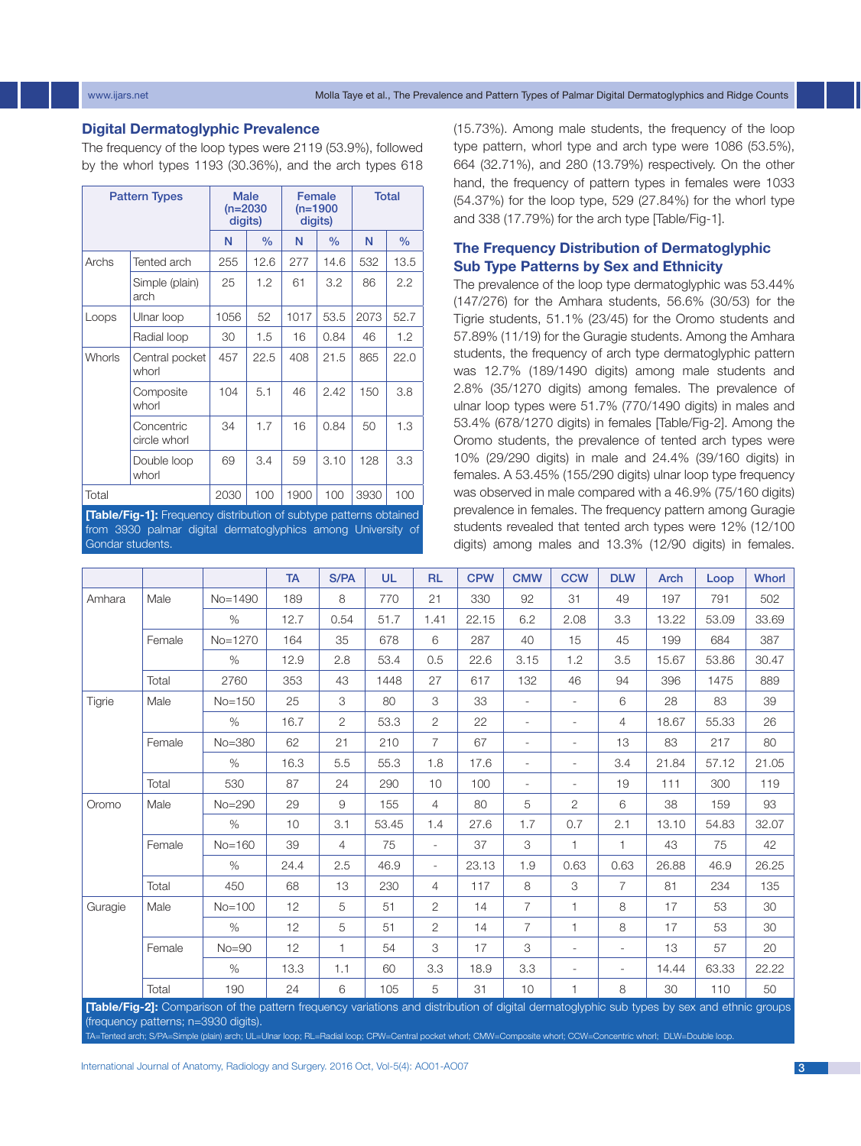## www.ijars.net Molla Taye et al., The Prevalence and Pattern Types of Palmar Digital Dermatoglyphics and Ridge Counts

## **Digital Dermatoglyphic Prevalence**

The frequency of the loop types were 2119 (53.9%), followed by the whorl types 1193 (30.36%), and the arch types 618

|               | <b>Pattern Types</b>       | <b>Male</b><br>$(n=2030)$<br>digits) |               |      | Female<br>$(n=1900)$<br>digits) | <b>Total</b> |               |  |  |
|---------------|----------------------------|--------------------------------------|---------------|------|---------------------------------|--------------|---------------|--|--|
|               |                            | N                                    | $\frac{0}{0}$ | N    | $\frac{0}{0}$                   | N            | $\frac{0}{0}$ |  |  |
| Archs         | Tented arch                | 255                                  | 12.6          | 277  | 14.6                            | 532          | 13.5          |  |  |
|               | Simple (plain)<br>arch     | 25                                   | 1.2           | 61   | 3.2                             | 86           | 2.2           |  |  |
| Loops         | Ulnar loop                 | 1056                                 | 52            | 1017 | 53.5                            | 2073         | 52.7          |  |  |
|               | Radial loop                | 30                                   | 1.5           | 16   | 0.84                            | 46           | 1.2           |  |  |
| <b>Whorls</b> | Central pocket<br>whorl    | 457                                  | 22.5          | 408  | 21.5                            | 865          | 22.0          |  |  |
|               | Composite<br>whorl         | 104                                  | 5.1           | 46   | 2.42                            | 150          | 3.8           |  |  |
|               | Concentric<br>circle whorl | 34                                   | 1.7           | 16   | 0.84                            | 50           | 1.3           |  |  |
|               | Double loop<br>whorl       | 69                                   | 3.4           | 59   | 3.10                            | 128          | 3.3           |  |  |
| Total         |                            | 2030                                 | 100           | 1900 | 100                             | 3930         | 100           |  |  |

**[Table/Fig-1]:** Frequency distribution of subtype patterns obtained from 3930 palmar digital dermatoglyphics among University of Gondar students.

(15.73%). Among male students, the frequency of the loop type pattern, whorl type and arch type were 1086 (53.5%), 664 (32.71%), and 280 (13.79%) respectively. On the other hand, the frequency of pattern types in females were 1033 (54.37%) for the loop type, 529 (27.84%) for the whorl type and 338 (17.79%) for the arch type [Table/Fig-1].

# **The Frequency Distribution of Dermatoglyphic Sub Type Patterns by Sex and Ethnicity**

The prevalence of the loop type dermatoglyphic was 53.44% (147/276) for the Amhara students, 56.6% (30/53) for the Tigrie students, 51.1% (23/45) for the Oromo students and 57.89% (11/19) for the Guragie students. Among the Amhara students, the frequency of arch type dermatoglyphic pattern was 12.7% (189/1490 digits) among male students and 2.8% (35/1270 digits) among females. The prevalence of ulnar loop types were 51.7% (770/1490 digits) in males and 53.4% (678/1270 digits) in females [Table/Fig-2]. Among the Oromo students, the prevalence of tented arch types were 10% (29/290 digits) in male and 24.4% (39/160 digits) in females. A 53.45% (155/290 digits) ulnar loop type frequency was observed in male compared with a 46.9% (75/160 digits) prevalence in females. The frequency pattern among Guragie students revealed that tented arch types were 12% (12/100 digits) among males and 13.3% (12/90 digits) in females.

|         |        |                                                                                                                                             | <b>TA</b>       | S/PA           | <b>UL</b> | <b>RL</b>                | <b>CPW</b> | <b>CMW</b>               | <b>CCW</b>               | <b>DLW</b>               | <b>Arch</b> | Loop  | <b>Whorl</b> |
|---------|--------|---------------------------------------------------------------------------------------------------------------------------------------------|-----------------|----------------|-----------|--------------------------|------------|--------------------------|--------------------------|--------------------------|-------------|-------|--------------|
| Amhara  | Male   | $No = 1490$                                                                                                                                 | 189             | 8              | 770       | 21                       | 330        | 92                       | 31                       | 49                       | 197         | 791   | 502          |
|         |        | $\%$                                                                                                                                        | 12.7            | 0.54           | 51.7      | 1.41                     | 22.15      | 6.2                      | 2.08                     | 3.3                      | 13.22       | 53.09 | 33.69        |
|         | Female | No=1270                                                                                                                                     | 164             | 35             | 678       | 6                        | 287        | 40                       | 15                       | 45                       | 199         | 684   | 387          |
|         |        | $\%$                                                                                                                                        | 12.9            | 2.8            | 53.4      | 0.5                      | 22.6       | 3.15                     | 1.2                      | 3.5                      | 15.67       | 53.86 | 30.47        |
|         | Total  | 2760                                                                                                                                        | 353             | 43             | 1448      | 27                       | 617        | 132                      | 46                       | 94                       | 396         | 1475  | 889          |
| Tigrie  | Male   | $No = 150$                                                                                                                                  | 25              | 3              | 80        | 3                        | 33         | $\overline{\phantom{a}}$ | $\overline{\phantom{a}}$ | 6                        | 28          | 83    | 39           |
|         |        | $\%$                                                                                                                                        | 16.7            | $\overline{2}$ | 53.3      | $\overline{2}$           | 22         | $\overline{\phantom{a}}$ | ٠                        | 4                        | 18.67       | 55.33 | 26           |
|         | Female | $No = 380$                                                                                                                                  | 62              | 21             | 210       | $\overline{7}$           | 67         | $\overline{\phantom{a}}$ | ٠                        | 13                       | 83          | 217   | 80           |
|         |        | $\%$                                                                                                                                        | 16.3            | 5.5            | 55.3      | 1.8                      | 17.6       | $\overline{\phantom{a}}$ | $\overline{\phantom{a}}$ | 3.4                      | 21.84       | 57.12 | 21.05        |
|         | Total  | 530                                                                                                                                         | 87              | 24             | 290       | 10                       | 100        | $\overline{\phantom{0}}$ | $\overline{\phantom{a}}$ | 19                       | 111         | 300   | 119          |
| Oromo   | Male   | $No = 290$                                                                                                                                  | 29              | 9              | 155       | $\overline{4}$           | 80         | 5                        | $\overline{2}$           | 6                        | 38          | 159   | 93           |
|         |        | $\%$                                                                                                                                        | 10 <sup>°</sup> | 3.1            | 53.45     | 1.4                      | 27.6       | 1.7                      | 0.7                      | 2.1                      | 13.10       | 54.83 | 32.07        |
|         | Female | $No = 160$                                                                                                                                  | 39              | $\overline{4}$ | 75        | $\overline{\phantom{a}}$ | 37         | 3                        | $\mathbf{1}$             | $\mathbf{1}$             | 43          | 75    | 42           |
|         |        | $\%$                                                                                                                                        | 24.4            | 2.5            | 46.9      | $\overline{\phantom{a}}$ | 23.13      | 1.9                      | 0.63                     | 0.63                     | 26.88       | 46.9  | 26.25        |
|         | Total  | 450                                                                                                                                         | 68              | 13             | 230       | $\overline{4}$           | 117        | 8                        | 3                        | $\overline{7}$           | 81          | 234   | 135          |
| Guragie | Male   | $No = 100$                                                                                                                                  | 12              | 5              | 51        | $\overline{2}$           | 14         | 7                        | $\mathbf{1}$             | 8                        | 17          | 53    | 30           |
|         |        | %                                                                                                                                           | 12              | 5              | 51        | $\overline{2}$           | 14         | $\overline{7}$           | 1                        | 8                        | 17          | 53    | 30           |
|         | Female | $No = 90$                                                                                                                                   | 12              | 1              | 54        | 3                        | 17         | 3                        | $\sim$                   | $\overline{\phantom{a}}$ | 13          | 57    | 20           |
|         |        | $\%$                                                                                                                                        | 13.3            | 1.1            | 60        | 3.3                      | 18.9       | 3.3                      | ٠                        | $\overline{\phantom{a}}$ | 14.44       | 63.33 | 22.22        |
|         | Total  | 190                                                                                                                                         | 24              | 6              | 105       | 5                        | 31         | 10                       | $\mathbf{1}$             | 8                        | 30          | 110   | 50           |
|         |        | [Table/Fig-2]: Comparison of the pattern frequency variations and distribution of digital dermatoglyphic sub types by sex and ethnic groups |                 |                |           |                          |            |                          |                          |                          |             |       |              |

(frequency patterns; n=3930 digits).

TA=Tented arch; S/PA=Simple (plain) arch; UL=Ulnar loop; RL=Radial loop; CPW=Central pocket whorl; CMW=Composite whorl; CCW=Concentric whorl; DLW=Double loop.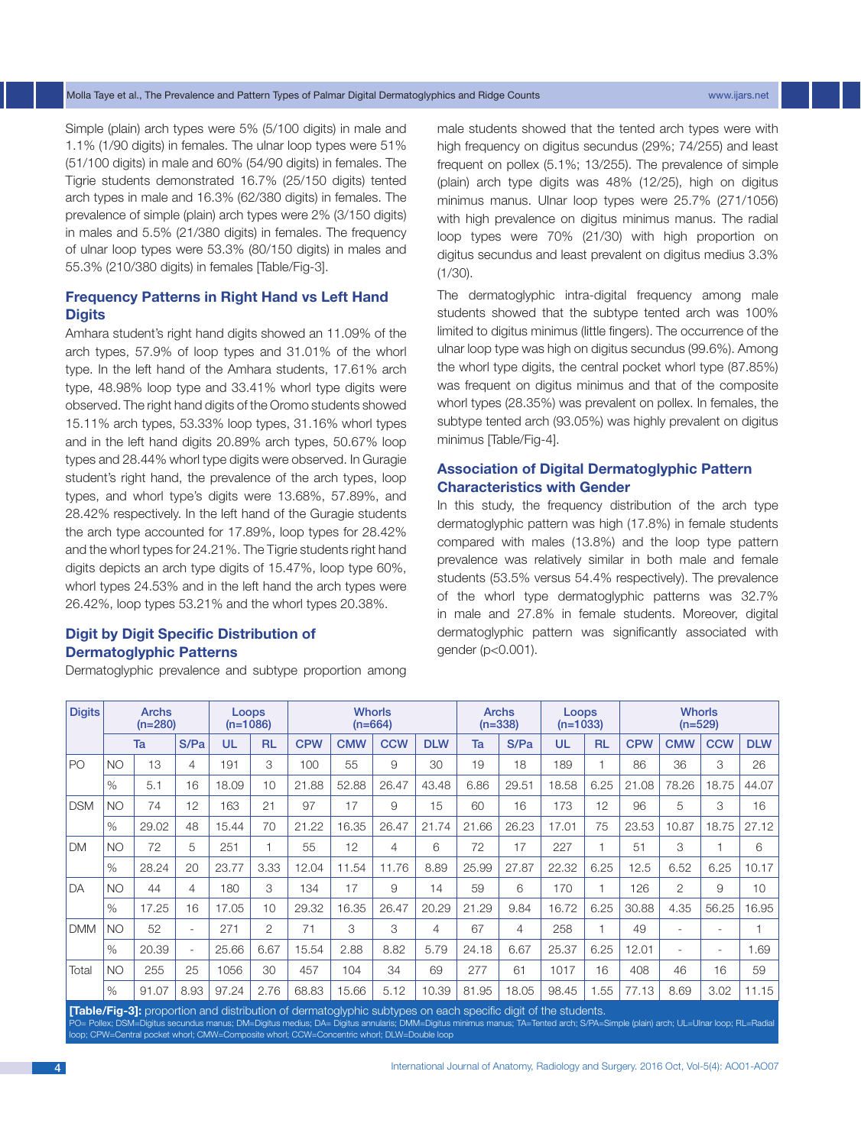#### Molla Taye et al., The Prevalence and Pattern Types of Palmar Digital Dermatoglyphics and Ridge Counts www.ijars.net

Simple (plain) arch types were 5% (5/100 digits) in male and 1.1% (1/90 digits) in females. The ulnar loop types were 51% (51/100 digits) in male and 60% (54/90 digits) in females. The Tigrie students demonstrated 16.7% (25/150 digits) tented arch types in male and 16.3% (62/380 digits) in females. The prevalence of simple (plain) arch types were 2% (3/150 digits) in males and 5.5% (21/380 digits) in females. The frequency of ulnar loop types were 53.3% (80/150 digits) in males and 55.3% (210/380 digits) in females [Table/Fig-3].

## **Frequency Patterns in Right Hand vs Left Hand Digits**

Amhara student's right hand digits showed an 11.09% of the arch types, 57.9% of loop types and 31.01% of the whorl type. In the left hand of the Amhara students, 17.61% arch type, 48.98% loop type and 33.41% whorl type digits were observed. The right hand digits of the Oromo students showed 15.11% arch types, 53.33% loop types, 31.16% whorl types and in the left hand digits 20.89% arch types, 50.67% loop types and 28.44% whorl type digits were observed. In Guragie student's right hand, the prevalence of the arch types, loop types, and whorl type's digits were 13.68%, 57.89%, and 28.42% respectively. In the left hand of the Guragie students the arch type accounted for 17.89%, loop types for 28.42% and the whorl types for 24.21%. The Tigrie students right hand digits depicts an arch type digits of 15.47%, loop type 60%, whorl types 24.53% and in the left hand the arch types were 26.42%, loop types 53.21% and the whorl types 20.38%.

## **Digit by Digit Specific Distribution of Dermatoglyphic Patterns**

Dermatoglyphic prevalence and subtype proportion among

male students showed that the tented arch types were with high frequency on digitus secundus (29%; 74/255) and least frequent on pollex (5.1%; 13/255). The prevalence of simple (plain) arch type digits was 48% (12/25), high on digitus minimus manus. Ulnar loop types were 25.7% (271/1056) with high prevalence on digitus minimus manus. The radial loop types were 70% (21/30) with high proportion on digitus secundus and least prevalent on digitus medius 3.3% (1/30).

The dermatoglyphic intra-digital frequency among male students showed that the subtype tented arch was 100% limited to digitus minimus (little fingers). The occurrence of the ulnar loop type was high on digitus secundus (99.6%). Among the whorl type digits, the central pocket whorl type (87.85%) was frequent on digitus minimus and that of the composite whorl types (28.35%) was prevalent on pollex. In females, the subtype tented arch (93.05%) was highly prevalent on digitus minimus [Table/Fig-4].

# **Association of Digital Dermatoglyphic Pattern Characteristics with Gender**

In this study, the frequency distribution of the arch type dermatoglyphic pattern was high (17.8%) in female students compared with males (13.8%) and the loop type pattern prevalence was relatively similar in both male and female students (53.5% versus 54.4% respectively). The prevalence of the whorl type dermatoglyphic patterns was 32.7% in male and 27.8% in female students. Moreover, digital dermatoglyphic pattern was significantly associated with gender (p<0.001).

| <b>Digits</b> | Archs<br>$(n=280)$ |       |                          | <b>Loops</b><br>$(n=1086)$ |                | <b>Whorls</b><br>$(n=664)$ |            |            |            | <b>Archs</b><br>$(n=338)$ |       | Loops<br>$(n=1033)$ |           | <b>Whorls</b><br>$(n=529)$ |                |                          |                 |
|---------------|--------------------|-------|--------------------------|----------------------------|----------------|----------------------------|------------|------------|------------|---------------------------|-------|---------------------|-----------|----------------------------|----------------|--------------------------|-----------------|
|               |                    | Ta    | S/Pa                     | UL                         | <b>RL</b>      | <b>CPW</b>                 | <b>CMW</b> | <b>CCW</b> | <b>DLW</b> | Ta                        | S/Pa  | UL                  | <b>RL</b> | <b>CPW</b>                 | <b>CMW</b>     | <b>CCW</b>               | <b>DLW</b>      |
| <b>PO</b>     | <b>NO</b>          | 13    | 4                        | 191                        | 3              | 100                        | 55         | 9          | 30         | 19                        | 18    | 189                 | ٠         | 86                         | 36             | 3                        | 26              |
|               | $\%$               | 5.1   | 16                       | 18.09                      | 10             | 21.88                      | 52.88      | 26.47      | 43.48      | 6.86                      | 29.51 | 18.58               | 6.25      | 21.08                      | 78.26          | 18.75                    | 44.07           |
| <b>DSM</b>    | <b>NO</b>          | 74    | 12                       | 163                        | 21             | 97                         | 17         | 9          | 15         | 60                        | 16    | 173                 | 12        | 96                         | 5              | 3                        | 16              |
|               | $\%$               | 29.02 | 48                       | 15.44                      | 70             | 21.22                      | 16.35      | 26.47      | 21.74      | 21.66                     | 26.23 | 17.01               | 75        | 23.53                      | 10.87          | 18.75                    | 27.12           |
| <b>DM</b>     | <b>NO</b>          | 72    | 5                        | 251                        |                | 55                         | 12         | 4          | 6          | 72                        | 17    | 227                 |           | 51                         | 3              | 1                        | 6               |
|               | $\%$               | 28.24 | 20                       | 23.77                      | 3.33           | 12.04                      | 11.54      | 11.76      | 8.89       | 25.99                     | 27.87 | 22.32               | 6.25      | 12.5                       | 6.52           | 6.25                     | 10.17           |
| DA            | <b>NO</b>          | 44    | 4                        | 180                        | 3              | 134                        | 17         | 9          | 14         | 59                        | 6     | 170                 |           | 126                        | $\overline{2}$ | 9                        | 10 <sup>1</sup> |
|               | $\%$               | 17.25 | 16                       | 17.05                      | 10             | 29.32                      | 16.35      | 26.47      | 20.29      | 21.29                     | 9.84  | 16.72               | 6.25      | 30.88                      | 4.35           | 56.25                    | 6.95            |
| <b>DMM</b>    | <b>NO</b>          | 52    | $\overline{\phantom{a}}$ | 271                        | $\overline{2}$ | 71                         | 3          | 3          | 4          | 67                        | 4     | 258                 | 1         | 49                         | ٠              | ٠                        |                 |
|               | $\%$               | 20.39 | $\overline{\phantom{a}}$ | 25.66                      | 6.67           | 15.54                      | 2.88       | 8.82       | 5.79       | 24.18                     | 6.67  | 25.37               | 6.25      | 12.01                      | ۰              | $\overline{\phantom{a}}$ | 1.69            |
| Total         | <b>NO</b>          | 255   | 25                       | 1056                       | 30             | 457                        | 104        | 34         | 69         | 277                       | 61    | 1017                | 16        | 408                        | 46             | 16                       | 59              |
|               | $\%$               | 91.07 | 8.93                     | 97.24                      | 2.76           | 68.83                      | 15.66      | 5.12       | 10.39      | 81.95                     | 18.05 | 98.45               | .55       | 77.13                      | 8.69           | 3.02                     | 1.15            |

**[Table/Fig-3]:** proportion and distribution of dermatoglyphic subtypes on each specific digit of the students. PO= Pollex; DSM=Digitus secundus manus; DM=Digitus medius; DA= Digitus annularis; DMM=Digitus minimus manus; TA=Tented arch; S/PA=Simple (plain) arch; UL=Ulnar loop; RL=Radial ral pocket whorl; CMW=Composite whorl; CCW=Concentric whorl; DLW=Double loop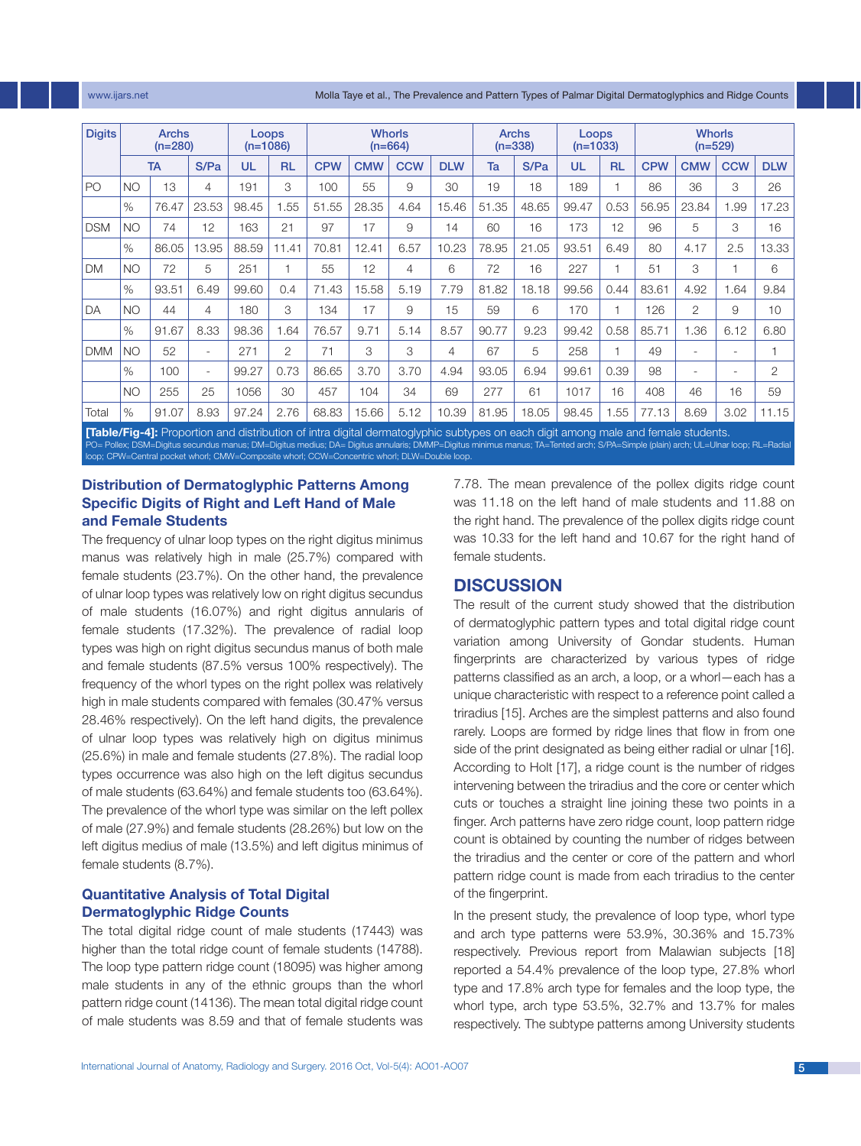www.ijars.net Molla Taye et al., The Prevalence and Pattern Types of Palmar Digital Dermatoglyphics and Ridge Counts

| <b>Digits</b> | <b>Archs</b><br>$(n=280)$ |                   |                          | <b>Loops</b><br>$(n=1086)$ |                | <b>Whorls</b><br>$(n=664)$ |            |            |            | <b>Archs</b><br>$(n=338)$ |       | Loops<br>$(n=1033)$ |           | <b>Whorls</b><br>$(n=529)$ |            |                          |            |  |
|---------------|---------------------------|-------------------|--------------------------|----------------------------|----------------|----------------------------|------------|------------|------------|---------------------------|-------|---------------------|-----------|----------------------------|------------|--------------------------|------------|--|
|               |                           | S/Pa<br><b>TA</b> |                          | UL                         | <b>RL</b>      | <b>CPW</b>                 | <b>CMW</b> | <b>CCW</b> | <b>DLW</b> | Ta                        | S/Pa  | UL                  | <b>RL</b> | <b>CPW</b>                 | <b>CMW</b> | <b>CCW</b>               | <b>DLW</b> |  |
| l PO          | <b>NO</b>                 | 13                | 4                        | 191                        | 3              | 100                        | 55         | 9          | 30         | 19                        | 18    | 189                 |           | 86                         | 36         | 3                        | 26         |  |
|               | %                         | 76.47             | 23.53                    | 98.45                      | 1.55           | 51.55                      | 28.35      | 4.64       | 15.46      | 51.35                     | 48.65 | 99.47               | 0.53      | 56.95                      | 23.84      | 1.99                     | 17.23      |  |
| <b>DSM</b>    | <b>NO</b>                 | 74                | 12                       | 163                        | 21             | 97                         | 17         | 9          | 14         | 60                        | 16    | 173                 | 12        | 96                         | 5          | 3                        | 16         |  |
|               | $\%$                      | 86.05             | 13.95                    | 88.59                      | 11.41          | 70.81                      | 12.41      | 6.57       | 10.23      | 78.95                     | 21.05 | 93.51               | 6.49      | 80                         | 4.17       | 2.5                      | 13.33      |  |
| <b>DM</b>     | <b>NO</b>                 | 72                | 5                        | 251                        | $\overline{1}$ | 55                         | 12         | 4          | 6          | 72                        | 16    | 227                 |           | 51                         | 3          | $\overline{\phantom{a}}$ | 6          |  |
|               | $\%$                      | 93.51             | 6.49                     | 99.60                      | 0.4            | 71.43                      | 15.58      | 5.19       | 7.79       | 81.82                     | 18.18 | 99.56               | 0.44      | 83.61                      | 4.92       | 1.64                     | 9.84       |  |
| <b>DA</b>     | <b>NO</b>                 | 44                | 4                        | 180                        | 3              | 134                        | 17         | 9          | 15         | 59                        | 6     | 170                 |           | 126                        | 2          | 9                        | 10         |  |
|               | $\%$                      | 91.67             | 8.33                     | 98.36                      | 1.64           | 76.57                      | 9.71       | 5.14       | 8.57       | 90.77                     | 9.23  | 99.42               | 0.58      | 85.71                      | 1.36       | 6.12                     | 6.80       |  |
| <b>DMM</b>    | <b>NO</b>                 | 52                | $\overline{\phantom{a}}$ | 271                        | 2              | 71                         | 3          | 3          | 4          | 67                        | 5     | 258                 | 1         | 49                         | ٠          |                          |            |  |
|               | $\%$                      | 100               | ۰                        | 99.27                      | 0.73           | 86.65                      | 3.70       | 3.70       | 4.94       | 93.05                     | 6.94  | 99.61               | 0.39      | 98                         | ٠          | $\overline{\phantom{a}}$ | 2          |  |
|               | <b>NO</b>                 | 255               | 25                       | 1056                       | 30             | 457                        | 104        | 34         | 69         | 277                       | 61    | 1017                | 16        | 408                        | 46         | 16                       | 59         |  |
| Total         | $\%$                      | 91.07             | 8.93                     | 97.24                      | 2.76           | 68.83                      | 15.66      | 5.12       | 10.39      | 81.95                     | 18.05 | 98.45               | 1.55      | 77.13                      | 8.69       | 3.02                     | 11.15      |  |

**[Table/Fig-4]:** Proportion and distribution of intra digital dermatoglyphic subtypes on each digit among male and female students. PO= Pollex; DSM=Digitus secundus manus; DM=Digitus medius; DA= Digitus annularis; DMMP=Digitus minimus manus; TA=Tented arch; S/PA=Simple (plain) arch; UL=Ulnar loop; RL=Radial loop; CPW=Central pocket whorl; CMW=Composite whorl; CCW=Concentric whorl; DLW=Double loop.

# **Distribution of Dermatoglyphic Patterns Among Specific Digits of Right and Left Hand of Male and Female Students**

The frequency of ulnar loop types on the right digitus minimus manus was relatively high in male (25.7%) compared with female students (23.7%). On the other hand, the prevalence of ulnar loop types was relatively low on right digitus secundus of male students (16.07%) and right digitus annularis of female students (17.32%). The prevalence of radial loop types was high on right digitus secundus manus of both male and female students (87.5% versus 100% respectively). The frequency of the whorl types on the right pollex was relatively high in male students compared with females (30.47% versus 28.46% respectively). On the left hand digits, the prevalence of ulnar loop types was relatively high on digitus minimus (25.6%) in male and female students (27.8%). The radial loop types occurrence was also high on the left digitus secundus of male students (63.64%) and female students too (63.64%). The prevalence of the whorl type was similar on the left pollex of male (27.9%) and female students (28.26%) but low on the left digitus medius of male (13.5%) and left digitus minimus of female students (8.7%).

# **Quantitative Analysis of Total Digital Dermatoglyphic Ridge Counts**

The total digital ridge count of male students (17443) was higher than the total ridge count of female students (14788). The loop type pattern ridge count (18095) was higher among male students in any of the ethnic groups than the whorl pattern ridge count (14136). The mean total digital ridge count of male students was 8.59 and that of female students was 7.78. The mean prevalence of the pollex digits ridge count was 11.18 on the left hand of male students and 11.88 on the right hand. The prevalence of the pollex digits ridge count was 10.33 for the left hand and 10.67 for the right hand of female students.

# **Discussion**

The result of the current study showed that the distribution of dermatoglyphic pattern types and total digital ridge count variation among University of Gondar students. Human fingerprints are characterized by various types of ridge patterns classified as an arch, a loop, or a whorl—each has a unique characteristic with respect to a reference point called a triradius [15]. Arches are the simplest patterns and also found rarely. Loops are formed by ridge lines that flow in from one side of the print designated as being either radial or ulnar [16]. According to Holt [17], a ridge count is the number of ridges intervening between the triradius and the core or center which cuts or touches a straight line joining these two points in a finger. Arch patterns have zero ridge count, loop pattern ridge count is obtained by counting the number of ridges between the triradius and the center or core of the pattern and whorl pattern ridge count is made from each triradius to the center of the fingerprint.

In the present study, the prevalence of loop type, whorl type and arch type patterns were 53.9%, 30.36% and 15.73% respectively. Previous report from Malawian subjects [18] reported a 54.4% prevalence of the loop type, 27.8% whorl type and 17.8% arch type for females and the loop type, the whorl type, arch type 53.5%, 32.7% and 13.7% for males respectively. The subtype patterns among University students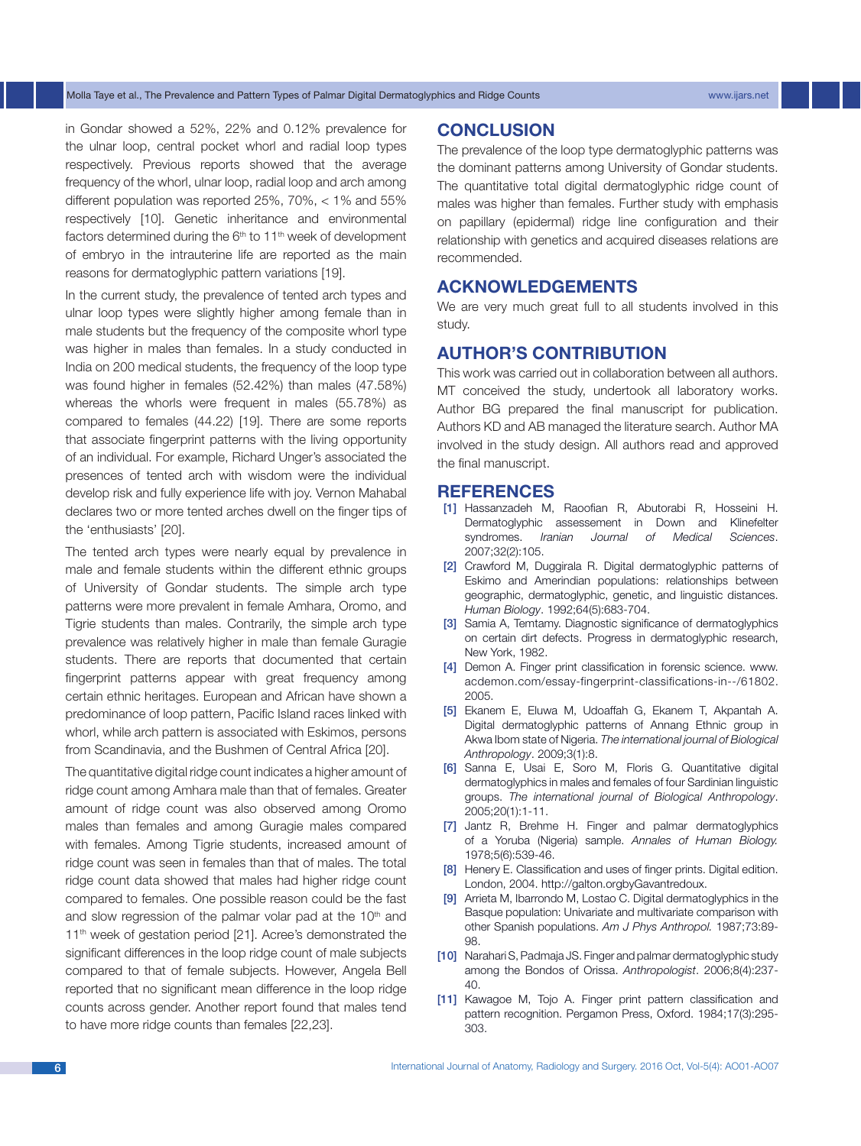#### Molla Taye et al., The Prevalence and Pattern Types of Palmar Digital Dermatoglyphics and Ridge Counts www.ijars.net

in Gondar showed a 52%, 22% and 0.12% prevalence for the ulnar loop, central pocket whorl and radial loop types respectively. Previous reports showed that the average frequency of the whorl, ulnar loop, radial loop and arch among different population was reported 25%, 70%, < 1% and 55% respectively [10]. Genetic inheritance and environmental factors determined during the  $6<sup>th</sup>$  to 11<sup>th</sup> week of development of embryo in the intrauterine life are reported as the main reasons for dermatoglyphic pattern variations [19].

In the current study, the prevalence of tented arch types and ulnar loop types were slightly higher among female than in male students but the frequency of the composite whorl type was higher in males than females. In a study conducted in India on 200 medical students, the frequency of the loop type was found higher in females (52.42%) than males (47.58%) whereas the whorls were frequent in males (55.78%) as compared to females (44.22) [19]. There are some reports that associate fingerprint patterns with the living opportunity of an individual. For example, Richard Unger's associated the presences of tented arch with wisdom were the individual develop risk and fully experience life with joy. Vernon Mahabal declares two or more tented arches dwell on the finger tips of the 'enthusiasts' [20].

The tented arch types were nearly equal by prevalence in male and female students within the different ethnic groups of University of Gondar students. The simple arch type patterns were more prevalent in female Amhara, Oromo, and Tigrie students than males. Contrarily, the simple arch type prevalence was relatively higher in male than female Guragie students. There are reports that documented that certain fingerprint patterns appear with great frequency among certain ethnic heritages. European and African have shown a predominance of loop pattern, Pacific Island races linked with whorl, while arch pattern is associated with Eskimos, persons from Scandinavia, and the Bushmen of Central Africa [20].

The quantitative digital ridge count indicates a higher amount of ridge count among Amhara male than that of females. Greater amount of ridge count was also observed among Oromo males than females and among Guragie males compared with females. Among Tigrie students, increased amount of ridge count was seen in females than that of males. The total ridge count data showed that males had higher ridge count compared to females. One possible reason could be the fast and slow regression of the palmar volar pad at the  $10<sup>th</sup>$  and 11<sup>th</sup> week of gestation period [21]. Acree's demonstrated the significant differences in the loop ridge count of male subjects compared to that of female subjects. However, Angela Bell reported that no significant mean difference in the loop ridge counts across gender. Another report found that males tend to have more ridge counts than females [22,23].

## **Conclusion**

The prevalence of the loop type dermatoglyphic patterns was the dominant patterns among University of Gondar students. The quantitative total digital dermatoglyphic ridge count of males was higher than females. Further study with emphasis on papillary (epidermal) ridge line configuration and their relationship with genetics and acquired diseases relations are recommended.

## **Acknowledgements**

We are very much great full to all students involved in this study.

# **Author's contribution**

This work was carried out in collaboration between all authors. MT conceived the study, undertook all laboratory works. Author BG prepared the final manuscript for publication. Authors KD and AB managed the literature search. Author MA involved in the study design. All authors read and approved the final manuscript.

#### **References**

- [1] Hassanzadeh M, Raoofian R, Abutorabi R, Hosseini H. Dermatoglyphic assessement in Down and Klinefelter syndromes. *Iranian Journal of Medical Sciences*. 2007;32(2):105.
- [2] Crawford M, Duggirala R. Digital dermatoglyphic patterns of Eskimo and Amerindian populations: relationships between geographic, dermatoglyphic, genetic, and linguistic distances. *Human Biology*. 1992;64(5):683-704.
- [3] Samia A, Temtamy. Diagnostic significance of dermatoglyphics on certain dirt defects. Progress in dermatoglyphic research, New York, 1982.
- [4] Demon A. Finger print classification in forensic science. www. acdemon.com/essay-fingerprint-classifications-in--/61802. 2005.
- [5] Ekanem E, Eluwa M, Udoaffah G, Ekanem T, Akpantah A. Digital dermatoglyphic patterns of Annang Ethnic group in Akwa Ibom state of Nigeria. *The international journal of Biological Anthropology*. 2009;3(1):8.
- [6] Sanna E, Usai E, Soro M, Floris G. Quantitative digital dermatoglyphics in males and females of four Sardinian linguistic groups. *The international journal of Biological Anthropology*. 2005;20(1):1-11.
- [7] Jantz R, Brehme H. Finger and palmar dermatoglyphics of a Yoruba (Nigeria) sample. *Annales of Human Biology.*  1978;5(6):539-46.
- [8] Henery E. Classification and uses of finger prints. Digital edition. London, 2004. http://galton.orgbyGavantredoux.
- [9] Arrieta M, Ibarrondo M, Lostao C. Digital dermatoglyphics in the Basque population: Univariate and multivariate comparison with other Spanish populations. *Am J Phys Anthropol.* 1987;73:89- 98.
- [10] Narahari S, Padmaja JS. Finger and palmar dermatoglyphic study among the Bondos of Orissa. *Anthropologist*. 2006;8(4):237- 40.
- [11] Kawagoe M, Tojo A. Finger print pattern classification and pattern recognition. Pergamon Press, Oxford. 1984;17(3):295- 303.